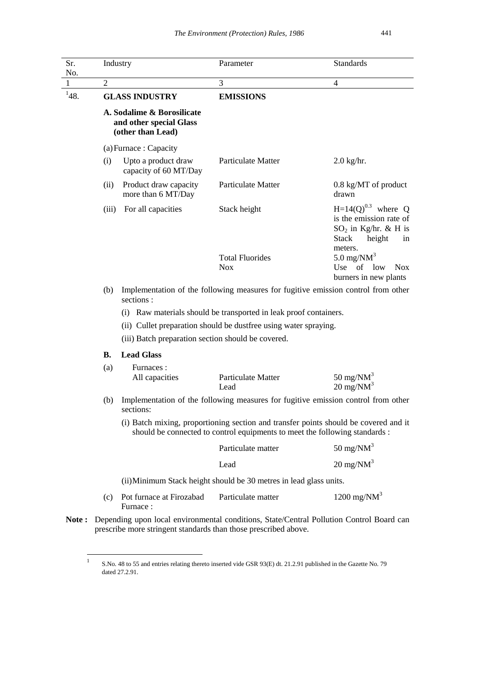| Sr.<br>No. |                                                                    | Industry                                                                                                                                                           | Parameter                              | <b>Standards</b>                                                                                                                           |  |
|------------|--------------------------------------------------------------------|--------------------------------------------------------------------------------------------------------------------------------------------------------------------|----------------------------------------|--------------------------------------------------------------------------------------------------------------------------------------------|--|
| 1          | $\overline{2}$                                                     |                                                                                                                                                                    | 3                                      | 4                                                                                                                                          |  |
| 148.       | <b>GLASS INDUSTRY</b>                                              |                                                                                                                                                                    | <b>EMISSIONS</b>                       |                                                                                                                                            |  |
|            |                                                                    | A. Sodalime & Borosilicate<br>and other special Glass<br>(other than Lead)                                                                                         |                                        |                                                                                                                                            |  |
|            | (a) Furnace: Capacity                                              |                                                                                                                                                                    |                                        |                                                                                                                                            |  |
|            | (i)                                                                | Upto a product draw<br>capacity of 60 MT/Day                                                                                                                       | <b>Particulate Matter</b>              | $2.0$ kg/hr.                                                                                                                               |  |
|            | (ii)                                                               | Product draw capacity<br>more than 6 MT/Day                                                                                                                        | Particulate Matter                     | 0.8 kg/MT of product<br>drawn                                                                                                              |  |
|            | (iii)                                                              | For all capacities                                                                                                                                                 | Stack height<br><b>Total Fluorides</b> | $H=14(Q)^{0.3}$ where Q<br>is the emission rate of<br>$SO_2$ in Kg/hr. & H is<br><b>Stack</b><br>height<br>in<br>meters.<br>5.0 mg/N $M^3$ |  |
|            |                                                                    |                                                                                                                                                                    | <b>Nox</b>                             | Use of<br>low<br>Nox.<br>burners in new plants                                                                                             |  |
|            | (b)                                                                | Implementation of the following measures for fugitive emission control from other<br>sections:                                                                     |                                        |                                                                                                                                            |  |
|            |                                                                    | (i) Raw materials should be transported in leak proof containers.                                                                                                  |                                        |                                                                                                                                            |  |
|            |                                                                    | (ii) Cullet preparation should be dustfree using water spraying.                                                                                                   |                                        |                                                                                                                                            |  |
|            |                                                                    | (iii) Batch preparation section should be covered.                                                                                                                 |                                        |                                                                                                                                            |  |
|            | <b>B.</b>                                                          | <b>Lead Glass</b>                                                                                                                                                  |                                        |                                                                                                                                            |  |
|            | (a)                                                                | Furnaces:<br>All capacities                                                                                                                                        | Particulate Matter<br>Lead             | 50 mg/N $M^3$<br>$20 \text{ mg}/\text{NM}^3$                                                                                               |  |
|            | (b)                                                                | Implementation of the following measures for fugitive emission control from other<br>sections:                                                                     |                                        |                                                                                                                                            |  |
|            |                                                                    | (i) Batch mixing, proportioning section and transfer points should be covered and it<br>should be connected to control equipments to meet the following standards: |                                        |                                                                                                                                            |  |
|            |                                                                    |                                                                                                                                                                    | Particulate matter                     | 50 mg/N $M^3$                                                                                                                              |  |
|            |                                                                    |                                                                                                                                                                    | Lead                                   | $20 \text{ mg}/\text{NM}^3$                                                                                                                |  |
|            | (ii) Minimum Stack height should be 30 metres in lead glass units. |                                                                                                                                                                    |                                        |                                                                                                                                            |  |
|            | (c)                                                                | Pot furnace at Firozabad<br>Furnace:                                                                                                                               | Particulate matter                     | 1200 mg/N $M^3$                                                                                                                            |  |

**Note :** Depending upon local environmental conditions, State/Central Pollution Control Board can prescribe more stringent standards than those prescribed above.

 $\frac{1}{1}$ S.No. 48 to 55 and entries relating thereto inserted vide GSR 93(E) dt. 21.2.91 published in the Gazette No. 79 dated 27.2.91.